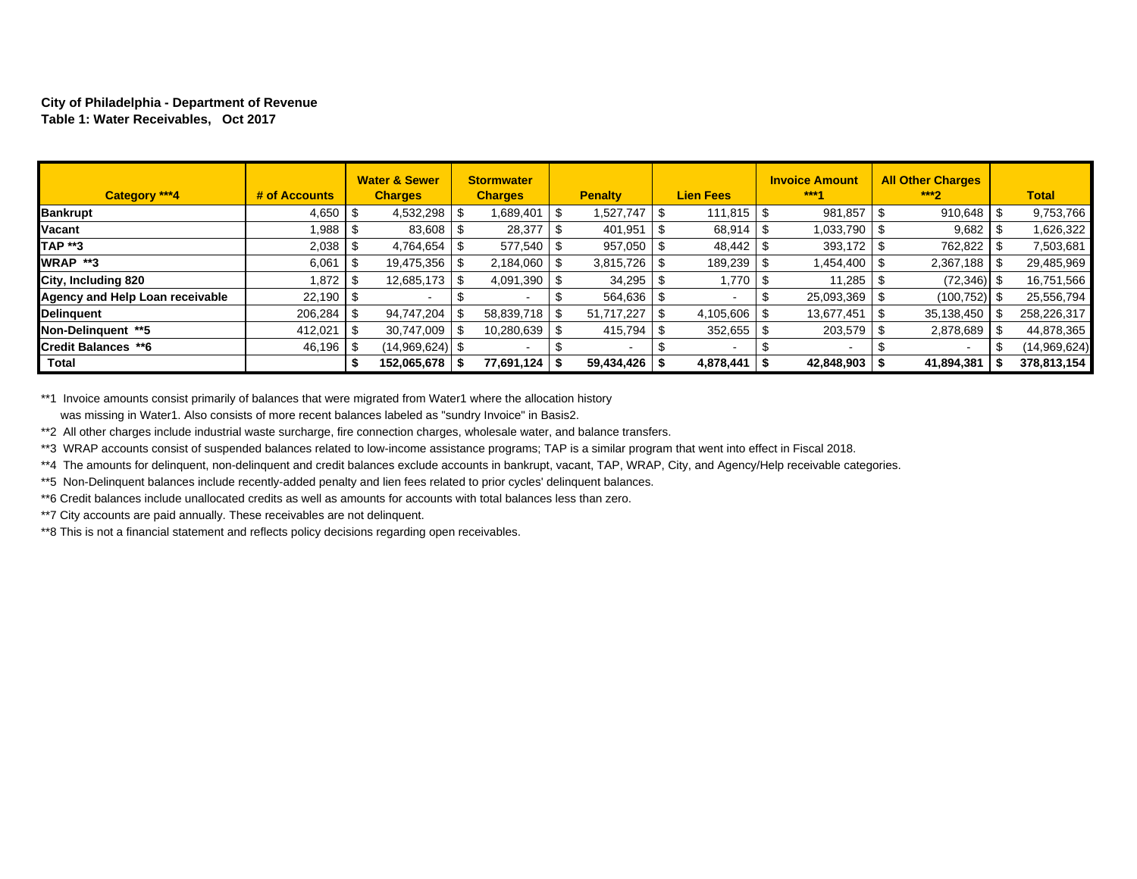## **City of Philadelphia - Department of Revenue Table 1: Water Receivables, Oct 2017**

| Category ***4                   | # of Accounts |     | <b>Water &amp; Sewer</b><br><b>Charges</b> | <b>Stormwater</b><br><b>Charges</b> |    | <b>Penalty</b> |      | <b>Lien Fees</b> | <b>Invoice Amount</b><br>$***4$ | <b>All Other Charges</b><br>$***2$ | <b>Total</b> |
|---------------------------------|---------------|-----|--------------------------------------------|-------------------------------------|----|----------------|------|------------------|---------------------------------|------------------------------------|--------------|
| <b>Bankrupt</b>                 | $4,650$   \$  |     | 4,532,298                                  | .689,401                            | S  | 1,527,747      | -S   |                  | 981,857                         | 910,648                            | 9,753,766    |
| Vacant                          | 1.988 S       |     | 83,608                                     | 28,377                              |    | 401,951        |      | 68,914           | 1.033.790                       | 9,682                              | 1,626,322    |
| <b>TAP **3</b>                  | $2,038$   \$  |     | 4,764,654                                  | 577,540                             |    | 957,050        |      | 48,442           | 393,172                         | 762,822                            | 7,503,681    |
| WRAP **3                        | 6,061         | ∣\$ | 19,475,356                                 | 2,184,060                           |    |                |      | $189,239$ \ \$   | 1,454,400                       | 2,367,188                          | 29,485,969   |
| City, Including 820             | 1.872   \$    |     | 12,685,173                                 | 4,091,390                           | Ж, | 34,295         |      | 1,770            | 11,285                          | $(72, 346)$ \$                     | 16,751,566   |
| Agency and Help Loan receivable | $22,190$ \$   |     |                                            |                                     |    | $564,636$ \ \$ |      |                  | 25,093,369                      | (100, 752)                         | 25,556,794   |
| <b>Delinguent</b>               |               |     | 94.747.204                                 | 58,839,718                          |    | 51.717.227     |      |                  | 13.677.451                      | 35,138,450                         | 258,226,317  |
| Non-Delinauent **5              | 412,021       | ∣SS | 30.747.009                                 | 10,280,639                          | .S | 415,794        | - \$ | $352,655$ \$     | 203,579                         | 2,878,689                          | 44,878,365   |
| <b>Credit Balances **6</b>      | $46,196$ \$   |     | $(14,969,624)$ \$                          |                                     |    |                |      |                  |                                 |                                    | (14,969,624) |
| Total                           |               |     | 152,065,678                                | 77,691,124                          |    | 59,434,426     |      | 4,878,441        | $42,848,903$ \\$                | 41,894,381                         | 378,813,154  |

\*\*1 Invoice amounts consist primarily of balances that were migrated from Water1 where the allocation history was missing in Water1. Also consists of more recent balances labeled as "sundry Invoice" in Basis2.

\*\*2 All other charges include industrial waste surcharge, fire connection charges, wholesale water, and balance transfers.

\*\*3 WRAP accounts consist of suspended balances related to low-income assistance programs; TAP is a similar program that went into effect in Fiscal 2018.

\*\*4 The amounts for delinquent, non-delinquent and credit balances exclude accounts in bankrupt, vacant, TAP, WRAP, City, and Agency/Help receivable categories.

\*\*5 Non-Delinquent balances include recently-added penalty and lien fees related to prior cycles' delinquent balances.

\*\*6 Credit balances include unallocated credits as well as amounts for accounts with total balances less than zero.

\*\*7 City accounts are paid annually. These receivables are not delinquent.

\*\*8 This is not a financial statement and reflects policy decisions regarding open receivables.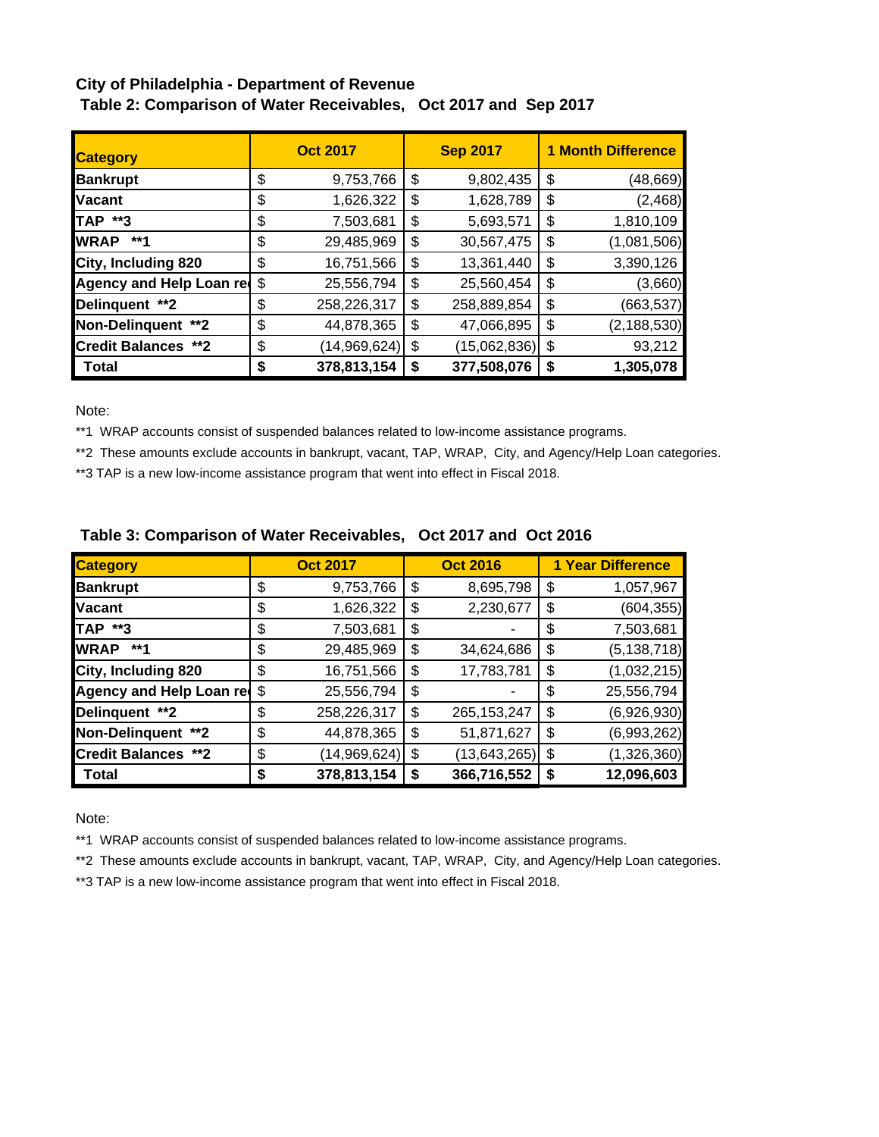## **City of Philadelphia - Department of Revenue Table 2: Comparison of Water Receivables, Oct 2017 and Sep 2017**

| <b>Category</b>            |    | <b>Oct 2017</b> |    | <b>Sep 2017</b> | <b>1 Month Difference</b> |
|----------------------------|----|-----------------|----|-----------------|---------------------------|
| <b>Bankrupt</b>            | \$ | 9,753,766       | \$ | 9,802,435       | \$<br>(48, 669)           |
| <b>Vacant</b>              | \$ | 1,626,322       | \$ | 1,628,789       | \$<br>(2, 468)            |
| TAP **3                    | \$ | 7,503,681       | \$ | 5,693,571       | \$<br>1,810,109           |
| <b>WRAP</b><br>**1         | \$ | 29,485,969      | \$ | 30,567,475      | \$<br>(1,081,506)         |
| City, Including 820        | \$ | 16,751,566      | \$ | 13,361,440      | \$<br>3,390,126           |
| Agency and Help Loan red   | \$ | 25,556,794      | \$ | 25,560,454      | \$<br>(3,660)             |
| Delinquent **2             | \$ | 258,226,317     | \$ | 258,889,854     | \$<br>(663, 537)          |
| Non-Delinquent **2         | \$ | 44,878,365      | \$ | 47,066,895      | \$<br>(2, 188, 530)       |
| <b>Credit Balances **2</b> | \$ | (14,969,624)    | \$ | (15,062,836)    | \$<br>93,212              |
| Total                      | S  | 378,813,154     | S  | 377,508,076     | \$<br>1,305,078           |

Note:

\*\*1 WRAP accounts consist of suspended balances related to low-income assistance programs.

\*\*2 These amounts exclude accounts in bankrupt, vacant, TAP, WRAP, City, and Agency/Help Loan categories.

\*\*3 TAP is a new low-income assistance program that went into effect in Fiscal 2018.

| <b>Category</b>            |    | <b>Oct 2017</b> | <b>Oct 2016</b>      | <b>1 Year Difference</b> |               |  |  |  |
|----------------------------|----|-----------------|----------------------|--------------------------|---------------|--|--|--|
| <b>Bankrupt</b>            | \$ | 9,753,766       | \$<br>8,695,798      | \$                       | 1,057,967     |  |  |  |
| <b>Vacant</b>              | \$ | 1,626,322       | \$<br>2,230,677      | \$                       | (604, 355)    |  |  |  |
| <b>TAP **3</b>             | \$ | 7,503,681       | \$                   | \$                       | 7,503,681     |  |  |  |
| <b>WRAP</b><br>**1         | \$ | 29,485,969      | \$<br>34,624,686     | \$                       | (5, 138, 718) |  |  |  |
| City, Including 820        | \$ | 16,751,566      | \$<br>17,783,781     | \$                       | (1,032,215)   |  |  |  |
| Agency and Help Loan red   | \$ | 25,556,794      | \$                   | \$                       | 25,556,794    |  |  |  |
| Delinquent **2             | \$ | 258,226,317     | \$<br>265, 153, 247  | \$                       | (6,926,930)   |  |  |  |
| Non-Delinquent **2         | \$ | 44,878,365      | \$<br>51,871,627     | \$                       | (6,993,262)   |  |  |  |
| <b>Credit Balances **2</b> | \$ | (14,969,624)    | \$<br>(13, 643, 265) | \$                       | (1,326,360)   |  |  |  |
| <b>Total</b>               | S  | 378,813,154     | \$<br>366,716,552    | \$                       | 12,096,603    |  |  |  |

## **Table 3: Comparison of Water Receivables, Oct 2017 and Oct 2016**

Note:

\*\*1 WRAP accounts consist of suspended balances related to low-income assistance programs.

\*\*2 These amounts exclude accounts in bankrupt, vacant, TAP, WRAP, City, and Agency/Help Loan categories.

\*\*3 TAP is a new low-income assistance program that went into effect in Fiscal 2018.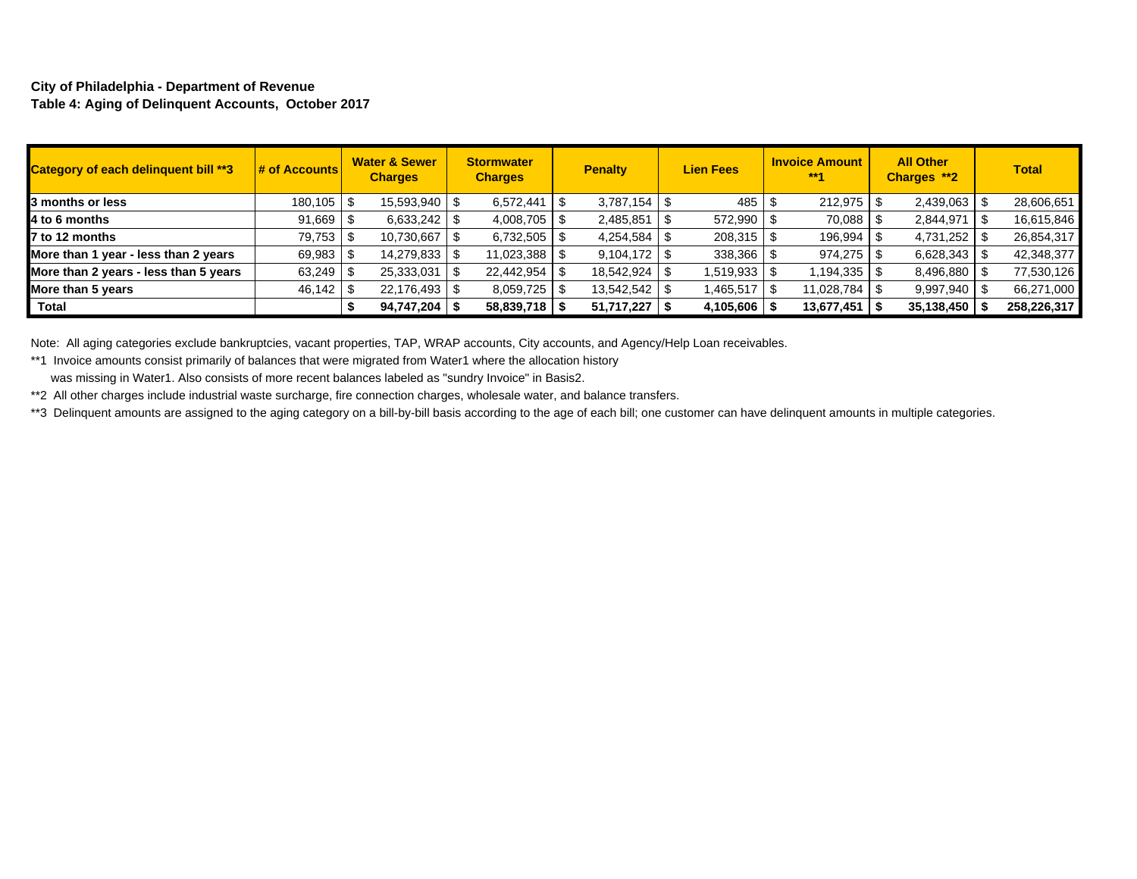## **City of Philadelphia - Department of Revenue Table 4: Aging of Delinquent Accounts, October 2017**

| Category of each delinquent bill **3  | $\frac{1}{2}$ of Accounts | <b>Water &amp; Sewer</b><br><b>Charges</b> | <b>Stormwater</b><br><b>Charges</b> | <b>Penalty</b> | <b>Lien Fees</b> | <b>Invoice Amount</b><br>$***1$ | <b>All Other</b><br>Charges **2 | <b>Total</b> |
|---------------------------------------|---------------------------|--------------------------------------------|-------------------------------------|----------------|------------------|---------------------------------|---------------------------------|--------------|
| 3 months or less                      | 180,105 \$                | 15,593,940   \$                            | 6,572,441                           | $3,787,154$ \$ | 485              | 212,975 \$                      | 2,439,063                       | 28,606,651   |
| 4 to 6 months                         | $91,669$ \$               | $6,633,242$ \$                             | 4,008,705                           | 2,485,851      | $572,990$ \$     | 70,088                          | 2,844,971                       | 16,615,846   |
| 7 to 12 months                        | 79.753 \$                 | 10,730,667                                 | 6,732,505                           |                | 208,315          | 196,994                         | 4,731,252                       | 26,854,317   |
| More than 1 year - less than 2 years  | 69,983                    | 14,279,833   9                             | 11,023,388                          | $9,104,172$ \$ | 338,366          | 974,275                         | 6,628,343                       | 42,348,377   |
| More than 2 years - less than 5 years | $63,249$ \$               | 25,333,031                                 | 22,442,954                          | 18,542,924     | $1,519,933$ \$   | $1,194,335$ \$                  | 8,496,880                       | 77,530,126   |
| More than 5 years                     | 46.142                    | 22,176,493 \$                              | 8,059,725                           | 13,542,542     | 1,465,517        |                                 | 9,997,940                       | 66,271,000   |
| Total                                 |                           | 94,747,204                                 | 58,839,718                          | 51,717,227     | 4,105,606        | 13,677,451                      | $35,138,450$   \$               | 258,226,317  |

Note: All aging categories exclude bankruptcies, vacant properties, TAP, WRAP accounts, City accounts, and Agency/Help Loan receivables.

\*\*1 Invoice amounts consist primarily of balances that were migrated from Water1 where the allocation history

was missing in Water1. Also consists of more recent balances labeled as "sundry Invoice" in Basis2.

\*\*2 All other charges include industrial waste surcharge, fire connection charges, wholesale water, and balance transfers.

\*\*3 Delinquent amounts are assigned to the aging category on a bill-by-bill basis according to the age of each bill; one customer can have delinquent amounts in multiple categories.